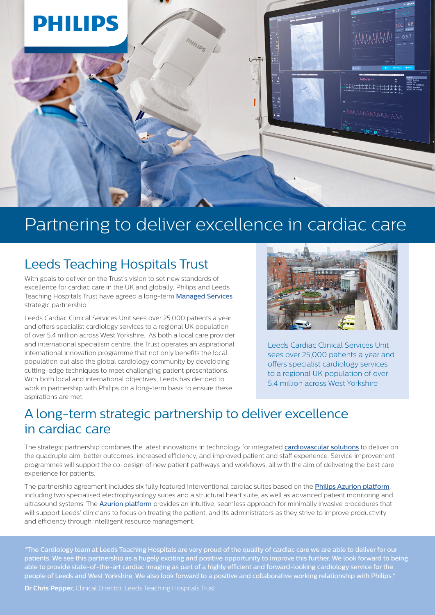

# Partnering to deliver excellence in cardiac care

## Leeds Teaching Hospitals Trust

With goals to deliver on the Trust's vision to set new standards of excellence for cardiac care in the UK and globally, Philips and Leeds Teaching Hospitals Trust have agreed a long-term **[Managed Services](https://www.philips.co.uk/healthcare/medical-products/partnerships/managed-services)** strategic partnership.

Leeds Cardiac Clinical Services Unit sees over 25,000 patients a year and offers specialist cardiology services to a regional UK population of over 5.4 million across West Yorkshire. As both a local care provider and international specialism centre, the Trust operates an aspirational international innovation programme that not only benefits the local population but also the global cardiology community by developing cutting-edge techniques to meet challenging patient presentations. With both local and international objectives, Leeds has decided to work in partnership with Philips on a long-term basis to ensure these aspirations are met.

![](_page_0_Picture_5.jpeg)

Leeds Cardiac Clinical Services Unit sees over 25,000 patients a year and offers specialist cardiology services to a regional UK population of over 5.4 million across West Yorkshire

### A long-term strategic partnership to deliver excellence in cardiac care

The strategic partnership combines the latest innovations in technology for integrated [cardiovascular solutions](https://www.philips.co.uk/healthcare/medical-products/partnerships/cardiology-solutions) to deliver on the quadruple aim: better outcomes, increased efficiency, and improved patient and staff experience. Service improvement programmes will support the co-design of new patient pathways and workflows, all with the aim of delivering the best care experience for patients.

The partnership agreement includes six fully featured interventional cardiac suites based on the *[Philips Azurion platform](https://www.philips.co.uk/healthcare/resources/landing/azurion)*, including two specialised electrophysiology suites and a structural heart suite, as well as advanced patient monitoring and ultrasound systems. The **[Azurion platform](https://www.philips.co.uk/healthcare/resources/landing/azurion)** provides an intuitive, seamless approach for minimally invasive procedures that will support Leeds' clinicians to focus on treating the patient, and its administrators as they strive to improve productivity and efficiency through intelligent resource management.

"The Cardiology team at Leeds Teaching Hospitals are very proud of the quality of cardiac care we are able to deliver for our patients. We see this partnership as a hugely exciting and positive opportunity to improve this further. We look forward to being able to provide state-of-the-art cardiac imaging as part of a highly efficient and forward-looking cardiology service for the people of Leeds and West Yorkshire. We also look forward to a positive and collaborative working relationship with Philips."

**Dr Chris Pepper,** Clinical Director, Leeds Teaching Hospitals Trust